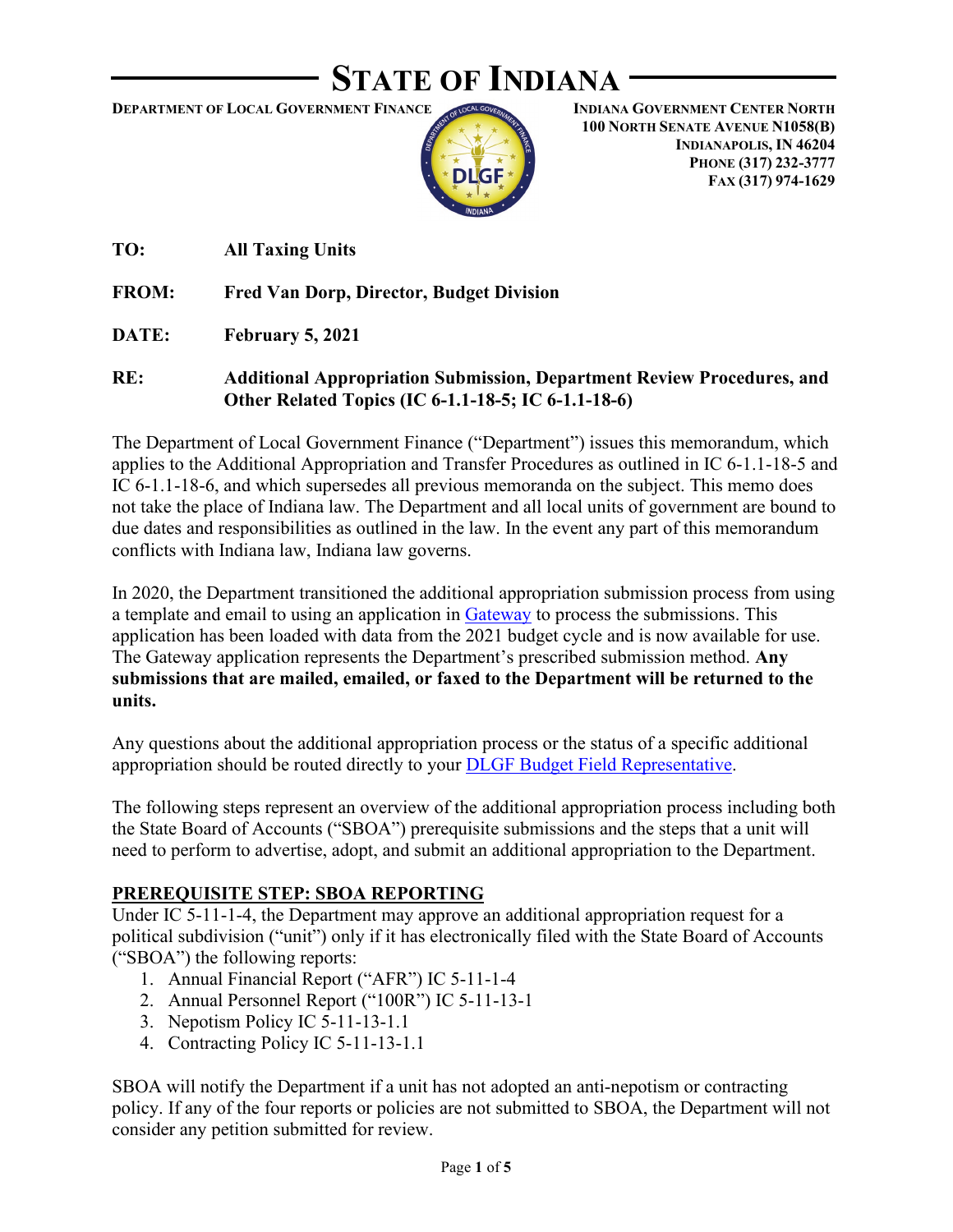# **STATE OF INDIANA**

**DEPARTMENT OF LOCAL GOVERNMENT FINANCE**



**INDIANA GOVERNMENT CENTER NORTH 100 NORTH SENATE AVENUE N1058(B) INDIANAPOLIS, IN 46204 PHONE (317) 232-3777 FAX (317) 974-1629**

**TO: All Taxing Units**

**FROM: Fred Van Dorp, Director, Budget Division**

**DATE: February 5, 2021**

**RE: Additional Appropriation Submission, Department Review Procedures, and Other Related Topics (IC 6-1.1-18-5; IC 6-1.1-18-6)**

The Department of Local Government Finance ("Department") issues this memorandum, which applies to the Additional Appropriation and Transfer Procedures as outlined in IC 6-1.1-18-5 and IC 6-1.1-18-6, and which supersedes all previous memoranda on the subject. This memo does not take the place of Indiana law. The Department and all local units of government are bound to due dates and responsibilities as outlined in the law. In the event any part of this memorandum conflicts with Indiana law, Indiana law governs.

In 2020, the Department transitioned the additional appropriation submission process from using a template and email to using an application in [Gateway](https://gateway.ifionline.org/login.aspx) to process the submissions. This application has been loaded with data from the 2021 budget cycle and is now available for use. The Gateway application represents the Department's prescribed submission method. **Any submissions that are mailed, emailed, or faxed to the Department will be returned to the units.** 

Any questions about the additional appropriation process or the status of a specific additional appropriation should be routed directly to your [DLGF Budget Field Representative.](https://www.in.gov/dlgf/files/Budget_Field_Reps.pdf)

The following steps represent an overview of the additional appropriation process including both the State Board of Accounts ("SBOA") prerequisite submissions and the steps that a unit will need to perform to advertise, adopt, and submit an additional appropriation to the Department.

### **PREREQUISITE STEP: SBOA REPORTING**

Under IC 5-11-1-4, the Department may approve an additional appropriation request for a political subdivision ("unit") only if it has electronically filed with the State Board of Accounts ("SBOA") the following reports:

- 1. Annual Financial Report ("AFR") IC 5-11-1-4
- 2. Annual Personnel Report ("100R") IC 5-11-13-1
- 3. Nepotism Policy IC 5-11-13-1.1
- 4. Contracting Policy IC 5-11-13-1.1

SBOA will notify the Department if a unit has not adopted an anti-nepotism or contracting policy. If any of the four reports or policies are not submitted to SBOA, the Department will not consider any petition submitted for review.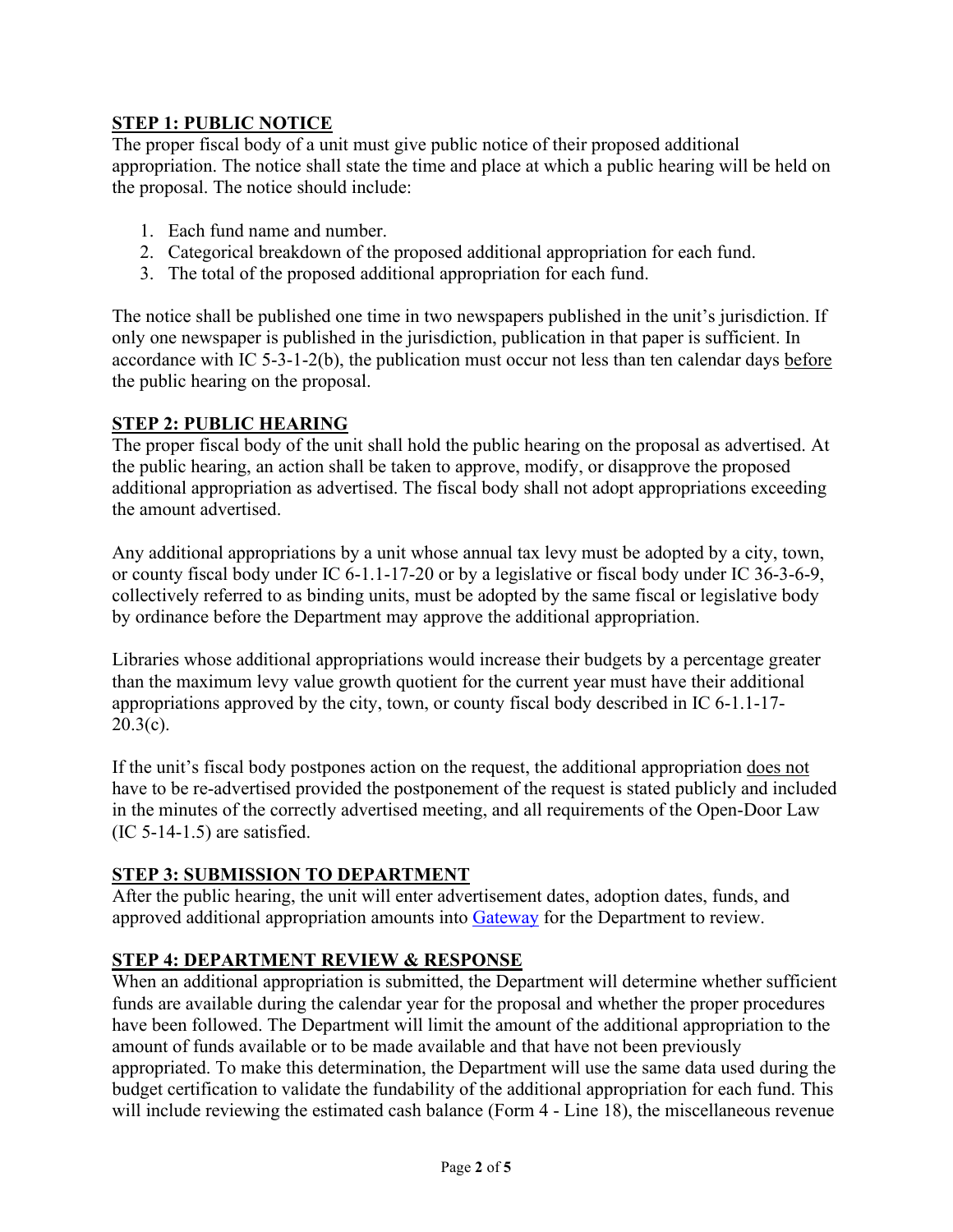## **STEP 1: PUBLIC NOTICE**

The proper fiscal body of a unit must give public notice of their proposed additional appropriation. The notice shall state the time and place at which a public hearing will be held on the proposal. The notice should include:

- 1. Each fund name and number.
- 2. Categorical breakdown of the proposed additional appropriation for each fund.
- 3. The total of the proposed additional appropriation for each fund.

The notice shall be published one time in two newspapers published in the unit's jurisdiction. If only one newspaper is published in the jurisdiction, publication in that paper is sufficient. In accordance with IC 5-3-1-2(b), the publication must occur not less than ten calendar days before the public hearing on the proposal.

## **STEP 2: PUBLIC HEARING**

The proper fiscal body of the unit shall hold the public hearing on the proposal as advertised. At the public hearing, an action shall be taken to approve, modify, or disapprove the proposed additional appropriation as advertised. The fiscal body shall not adopt appropriations exceeding the amount advertised.

Any additional appropriations by a unit whose annual tax levy must be adopted by a city, town, or county fiscal body under IC 6-1.1-17-20 or by a legislative or fiscal body under IC 36-3-6-9, collectively referred to as binding units, must be adopted by the same fiscal or legislative body by ordinance before the Department may approve the additional appropriation.

Libraries whose additional appropriations would increase their budgets by a percentage greater than the maximum levy value growth quotient for the current year must have their additional appropriations approved by the city, town, or county fiscal body described in IC 6-1.1-17-  $20.3(c)$ .

If the unit's fiscal body postpones action on the request, the additional appropriation does not have to be re-advertised provided the postponement of the request is stated publicly and included in the minutes of the correctly advertised meeting, and all requirements of the Open-Door Law (IC 5-14-1.5) are satisfied.

### **STEP 3: SUBMISSION TO DEPARTMENT**

After the public hearing, the unit will enter advertisement dates, adoption dates, funds, and approved additional appropriation amounts into [Gateway](https://gateway.ifionline.org/login.aspx) for the Department to review.

### **STEP 4: DEPARTMENT REVIEW & RESPONSE**

When an additional appropriation is submitted, the Department will determine whether sufficient funds are available during the calendar year for the proposal and whether the proper procedures have been followed. The Department will limit the amount of the additional appropriation to the amount of funds available or to be made available and that have not been previously appropriated. To make this determination, the Department will use the same data used during the budget certification to validate the fundability of the additional appropriation for each fund. This will include reviewing the estimated cash balance (Form 4 - Line 18), the miscellaneous revenue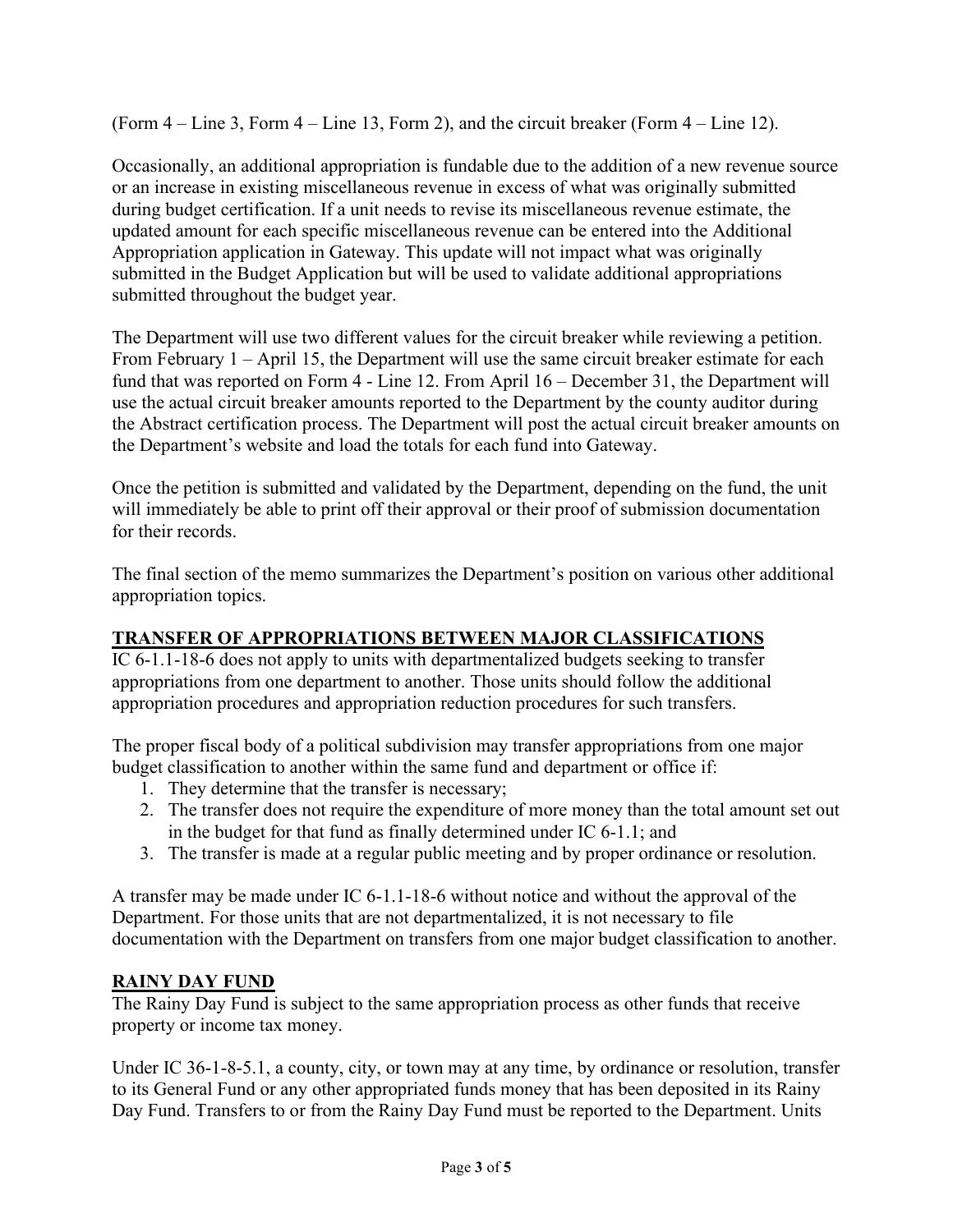(Form 4 – Line 3, Form 4 – Line 13, Form 2), and the circuit breaker (Form 4 – Line 12).

Occasionally, an additional appropriation is fundable due to the addition of a new revenue source or an increase in existing miscellaneous revenue in excess of what was originally submitted during budget certification. If a unit needs to revise its miscellaneous revenue estimate, the updated amount for each specific miscellaneous revenue can be entered into the Additional Appropriation application in Gateway. This update will not impact what was originally submitted in the Budget Application but will be used to validate additional appropriations submitted throughout the budget year.

The Department will use two different values for the circuit breaker while reviewing a petition. From February 1 – April 15, the Department will use the same circuit breaker estimate for each fund that was reported on Form 4 - Line 12. From April 16 – December 31, the Department will use the actual circuit breaker amounts reported to the Department by the county auditor during the Abstract certification process. The Department will post the actual circuit breaker amounts on the Department's website and load the totals for each fund into Gateway.

Once the petition is submitted and validated by the Department, depending on the fund, the unit will immediately be able to print off their approval or their proof of submission documentation for their records.

The final section of the memo summarizes the Department's position on various other additional appropriation topics.

## **TRANSFER OF APPROPRIATIONS BETWEEN MAJOR CLASSIFICATIONS**

IC 6-1.1-18-6 does not apply to units with departmentalized budgets seeking to transfer appropriations from one department to another. Those units should follow the additional appropriation procedures and appropriation reduction procedures for such transfers.

The proper fiscal body of a political subdivision may transfer appropriations from one major budget classification to another within the same fund and department or office if:

- 1. They determine that the transfer is necessary;
- 2. The transfer does not require the expenditure of more money than the total amount set out in the budget for that fund as finally determined under IC 6-1.1; and
- 3. The transfer is made at a regular public meeting and by proper ordinance or resolution.

A transfer may be made under IC 6-1.1-18-6 without notice and without the approval of the Department. For those units that are not departmentalized, it is not necessary to file documentation with the Department on transfers from one major budget classification to another.

## **RAINY DAY FUND**

The Rainy Day Fund is subject to the same appropriation process as other funds that receive property or income tax money.

Under IC 36-1-8-5.1, a county, city, or town may at any time, by ordinance or resolution, transfer to its General Fund or any other appropriated funds money that has been deposited in its Rainy Day Fund. Transfers to or from the Rainy Day Fund must be reported to the Department. Units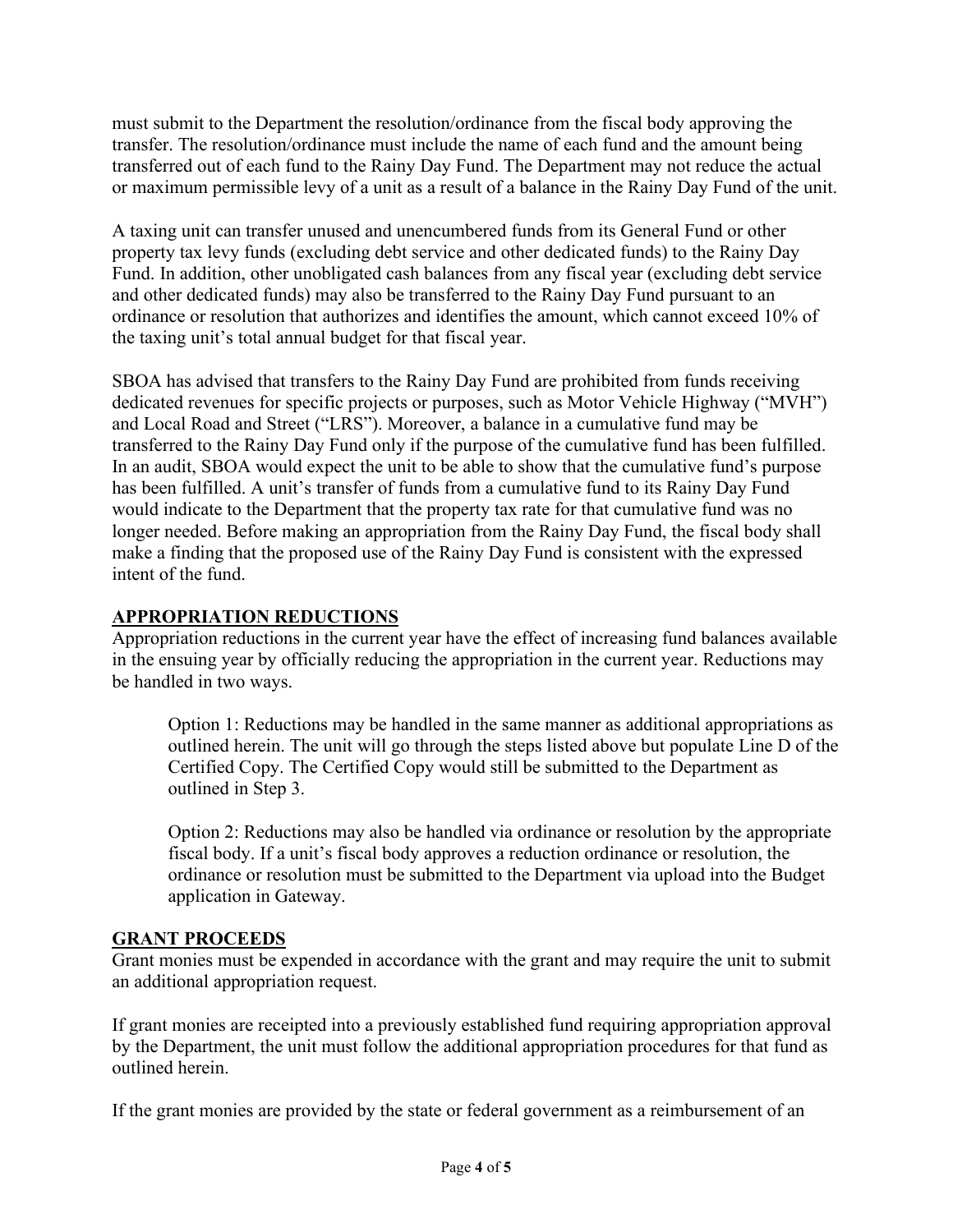must submit to the Department the resolution/ordinance from the fiscal body approving the transfer. The resolution/ordinance must include the name of each fund and the amount being transferred out of each fund to the Rainy Day Fund. The Department may not reduce the actual or maximum permissible levy of a unit as a result of a balance in the Rainy Day Fund of the unit.

A taxing unit can transfer unused and unencumbered funds from its General Fund or other property tax levy funds (excluding debt service and other dedicated funds) to the Rainy Day Fund. In addition, other unobligated cash balances from any fiscal year (excluding debt service and other dedicated funds) may also be transferred to the Rainy Day Fund pursuant to an ordinance or resolution that authorizes and identifies the amount, which cannot exceed 10% of the taxing unit's total annual budget for that fiscal year.

SBOA has advised that transfers to the Rainy Day Fund are prohibited from funds receiving dedicated revenues for specific projects or purposes, such as Motor Vehicle Highway ("MVH") and Local Road and Street ("LRS"). Moreover, a balance in a cumulative fund may be transferred to the Rainy Day Fund only if the purpose of the cumulative fund has been fulfilled. In an audit, SBOA would expect the unit to be able to show that the cumulative fund's purpose has been fulfilled. A unit's transfer of funds from a cumulative fund to its Rainy Day Fund would indicate to the Department that the property tax rate for that cumulative fund was no longer needed. Before making an appropriation from the Rainy Day Fund, the fiscal body shall make a finding that the proposed use of the Rainy Day Fund is consistent with the expressed intent of the fund.

## **APPROPRIATION REDUCTIONS**

Appropriation reductions in the current year have the effect of increasing fund balances available in the ensuing year by officially reducing the appropriation in the current year. Reductions may be handled in two ways.

Option 1: Reductions may be handled in the same manner as additional appropriations as outlined herein. The unit will go through the steps listed above but populate Line D of the Certified Copy. The Certified Copy would still be submitted to the Department as outlined in Step 3.

Option 2: Reductions may also be handled via ordinance or resolution by the appropriate fiscal body. If a unit's fiscal body approves a reduction ordinance or resolution, the ordinance or resolution must be submitted to the Department via upload into the Budget application in Gateway.

### **GRANT PROCEEDS**

Grant monies must be expended in accordance with the grant and may require the unit to submit an additional appropriation request.

If grant monies are receipted into a previously established fund requiring appropriation approval by the Department, the unit must follow the additional appropriation procedures for that fund as outlined herein.

If the grant monies are provided by the state or federal government as a reimbursement of an